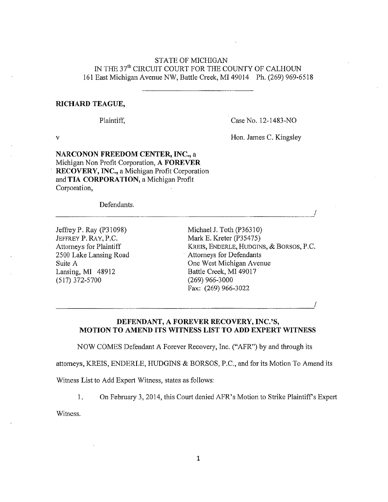# STATE OF MICHIGAN IN THE 37<sup>th</sup> CIRCUIT COURT FOR THE COUNTY OF CALHOUN 161 East Michigan Avenue NW, Battle Creek, MI 49014 Ph, (269) 969.6518

### RICHARD TEAGUE,

Plaintiff.

Case No. 12-1483-NO

 $\mathbf V$  Honorana C. Kingsley C. Kingsley C. Kingsley C. Kingsley C. Kingsley C. Kingsley C. Kingsley C. Kingsley C. Kingsley C. Kingsley C. Kingsley C. Kingsley C. Kingsley C. Kingsley C. Kingsley C. Kingsley C. Kingsley C

Hon. James C. Kingsley

/

/

NARCONON FREEDOM CENTER, INC., a Michigan Non Profit Corporation, A FOREVER RECOVERY, INC., a Michigan Profit Corporation and TIA CORPORATION, a Michigan Profit Corporation,

Defendants,

Jeffrey P. Ray (P31098) Michael J. Toth (P36310)<br>JEFFREY P. RAY, P.C. Mark E. Kreter (P35475) JEFFREY P. RAY, P.C. Suite A Lansing, MI 48912  $(517)$  372-5700

Attorneys for Plaintiff KREIS, ENDERLE, HUDGINS, & BORSOS, P.C. 2500 Lake Lansing Road Attorneys for Defendants<br>
Suite A One West Michigan Avenue Battle Creek, MI 49017  $(269)$  966-3000 Fax; (269) 966-3022

DEFENDANT, A FOREVER RECOVERY, INC.'S, MOTION TO AMEND ITS WITNESS LIST TO ADD EXPERT WITNESS

NOW COMES Defendant A Forever Recovery, Inc. ("AFR") by and through its

attorneys, KREIS, ENDERLE, HUDGINS  $\&$  BORSOS, P.C., and for its Motion To Amend its

Witness List to Add Expert Witness, states as follows:

1. On February 3, 2014, this Court denied AFR's Motion to Strike Plaintiff's Expert

Witness.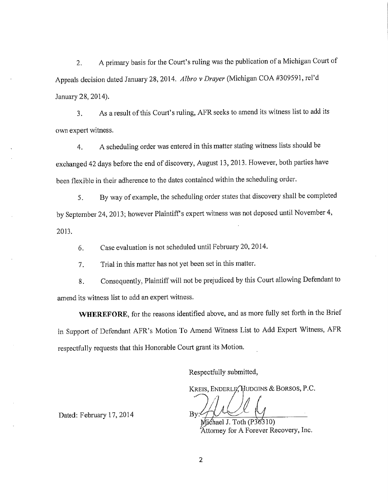2. A primary basis for the Court's ruling was the publication of a Michigan Court of Appeals decision dated January 28, 2014. Albro v Drayer (Michigan COA #309591, rel'd January 28,2014).

3. As a result of this Court's ruling, APR seeks to amend its witness list to add its own expert witness.

4. A scheduling order was entered in this matter stating witness lists should be exchanged 42 days before the end of discovery, August 13,2013. However, both parties have been flexible in their adherence to the dates contained within the scheduling order.

5. By way of example, the scheduling order states that discovery shall be completed by September 24, 2013; however Plaintiff's expert witness was not deposed until November 4, 2013.

6. Case evaluation is not scheduled until February 20,20 14.

7. Trial in this matter has not yet been set in this matter.

8. Consequently, Plaintiff will not be prejudiced by this Court allowing Defendant to amend its witness list to add an expert witness,

WHEREFORE, for the reasons identified above, and as more fully set forth in the Brief in Support of Defendant APR's Motion To Amend Witness List to Add Expert Witness, APR respectfully requests that this Honorable Court grant its Motion,

Respectfully submitted,

KREIS, ENDERLE, HUDGINS & BORSOS, P.C.

 $Bv^2$ 

Michael J.  $1$ oth (P3 $5310$ ) Attorney for A Forever Recov

Dated: February 17, 2014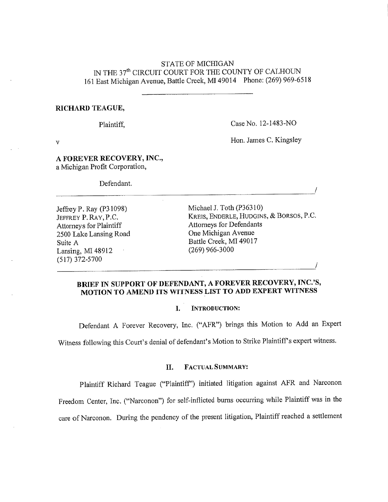# STATE OF MICHIGAN N THE 37" CIRCUIT COURT FOR THE COUNTY OF CALHOUN 161 East Michigan Avenue, Battle Creek, MI 49014 Phone; (269) 969-6518

### RICHARD TEAGUE,

Plaintiff,

Case No. 12-1483-NO

v Hon. James C. Kingsley

Hon. James C. Kingsley

# A FOREVER RECOVERY, INC., a Michigan Profit Corporation,

Defendant.

Attorneys for Plaintiff 2500 Lake Lansing Road One Michigan Avenue<br>
Suite A Battle Creek, MI 49017 Suite A Lansing, MI 48912 (517) 372-5700

Jeffrey P. Ray (P31098) Michael J. Toth (P36310)<br>JEFFREY P. RAY. P.C. KREIS, ENDERLE, HUDGINS, & BORSOS, P.C. JEFFREY P. RAY, P.C. KREIS, ENDERLE, HUDGIN<br>Attorneys for Plaintiff Attorneys for Defendants  $(269)$  966-3000

 $\overline{\phantom{a}}$ 

# BRIEF IN SUPPORT OF DEFENDANT, A FOREVER RECOVERY, INC.'S, MOTION TO AMEND ITS WITNESS LIST TO ADD EXPERT WITNESS

## I. INTRODUCTION:

Defendant A Forever Recovery, Inc. ("APR") brings this Motion to Add an Expert Witness following this Court's denial of defendant's Motion to Strike Plaintiff's expert witness.

## II. FACTUAL SUMMARY:

Plaintiff Richard Teague ("Plaintiff") initiated litigation against AFR and Narconon

Freedom Center, Inc. ("Narconon") for self-inflicted bums occurring while Plaintiff was in the

care of Narconon. During the pendency of the present litigation, Plaintiff reached a settlement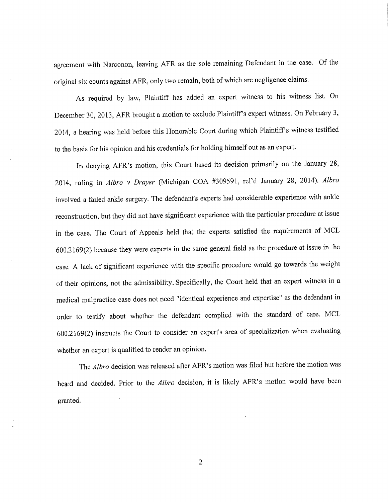agreement with Narconon, leaving AFR as the sole remaining Defendant in the case. Of the original six counts against AFR, only two remain, both of which are negligence claims.

As required by law, Plaintiff has added an expert witness to his witness list. On December 30, 2013, AFR brought a motion to exclude Plaintiff's expert witness. On February 3, 2014, a hearing was held before this Honorable Court during which Plaintiff's witness testified to the basis for his opinion and his credentials for holding himself out as an expert.

In denying APR's motion, this Court based its decision primarily on the January 28, 2014, ruling in Albro v Drayer (Michigan COA #309591, rel'd January 28, 2014). Albro involved a failed ankle surgery. The defendant's experts had considerable experience with ankle reconstruction, but they did not have significant experience with the particular procedure at issue in the case, The Court of Appeals held that the experts satisfied the requirements of MCL 600,2169(2) because they were experts in the same general field as the procedure at issue in the case, A lack of significant experience with the specific procedure would go towards the weight of their opinions, not the admissibility. Specifically, the Court held that an expert witness in a medical malpractice case does not need "identical experience and expertise" as the defendant in order to testify about whether the defendant complied with the standard of care. MCL 600.2169(2) instructs the Court to consider an expert's area of specialization when evaluating whether an expert is qualified to render an opinion.

The Albro decision was released after AFR's motion was filed but before the motion was heard and decided. Prior to the *Albro* decision, it is likely AFR's motion would have been granted.

 $\overline{2}$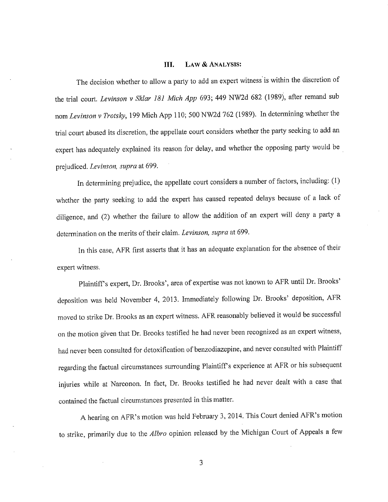### III. LAW & ANALYSIS:

The decision whether to allow a party to add an expert witness is within the discretion of the trial court. Levinson v Sklar 181 Mich App 693; 449 NW2d 682 (1989), after remand sub nora Levinson v Trotsky, 199 Mich App 110; 500 NW2d 762 (1989). In determining whether the trial court abused its discretion, the appellate court considers whether the party seeking to add an expert has adequately explained its reason for delay, and whether the opposing party would be prejudiced. Levinson, supra at 699.

In determining prejudice, the appellate court considers a number of factors, including; (1) whether the party seeking to add the expert has caused repeated delays because of a lack of diligence, and (2) whether the failure to allow the addition of an expert will deny a party a determination on the merits of their claim. Levinson, supra at 699,

In this case, APR first asserts that it has an adequate explanation for the absence of their expert witness.

Plaintiffs expert, Dr. Brooks', area of expertise was not known to APR until Dr. Brooks' deposition was held November 4, 2013. Immediately following Dr. Brooks' deposition, APR moved to strike Dr. Brooks as an expert witness. AFR reasonably believed it would be successful on the motion given that Dr. Brooks testified he had never been recognized as an expert witness, had never been consulted for detoxification of benzodiazepine, and never consulted with Plaintiff regarding the factual circumstances surrounding Plaintiff's experience at AFR or his subsequent injuries while at Narconon. In fact, Dr. Brooks testified he had never dealt with a case that contained the factual circumstances presented in this matter,

A hearing on AFR's motion was held February 3, 2014, This Court denied AFR's motion to strike, primarily due to the Albro opinion released by the Michigan Court of Appeals a few

3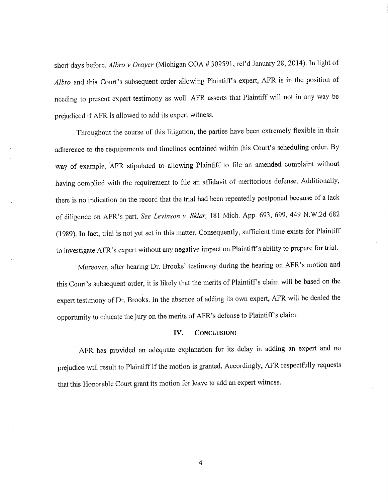short days before. Albro v Drayer (Michigan COA # 309591, rel'd January 28, 2014). In light of Albro and this Court's subsequent order allowing Plaintiff's expert, AFR is in the position of needing to present expert testimony as well. APR asserts that Plaintiff will not in any way be prejudiced ifAFR is allowed to add its expert witness.

Throughout the course of this litigation, the parties have been extremely flexible in their adherence to the requirements and timelines contained within this Court's scheduling order. By way of example, APR stipulated to allowing Plaintiff to file an amended complaint without having complied with the requirement to file an affidavit of meritorious defense. Additionally, there is no indication on the record that the trial had been repeatedly postponed because of a lack of diligence on AFR's part. See Levinson v. Sklar, 181 Mich. App. 693, 699, 449 N.W.2d 682 (1989). In fact, trial is not yet set in this matter. Consequently, sufficient time exists for Plaintiff to investigate AFR's expert without any negative impact on Plaintiff's ability to prepare for trial.

Moreover, after hearing Dr. Brooks' testimony during the hearing on APR's motion and this Court's subsequent order, it is likely that the merits of Plaintiff's claim will be based on the expert testimony of Dr. Brooks, In the absence of adding its own expert, APR will be denied the opportunity to educate the jury on the merits of AFR's defense to Plaintiff's claim.

### IV. CONCLUSION:

APR has provided an adequate explanation for its delay in adding an expert and no prejudice will result to Plaintiff if the motion is granted. Accordingly, APR respectfully requests that this Honorable Court grant its motion for leave to add an expert witness.

4